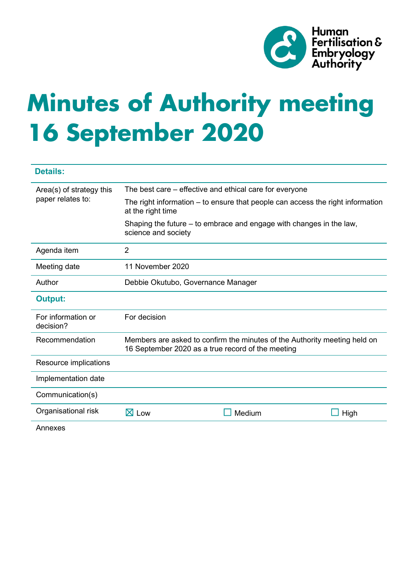

# **Minutes of Authority meeting 16 September 2020**

| <b>Details:</b>                               |                                                                                                                                |        |      |
|-----------------------------------------------|--------------------------------------------------------------------------------------------------------------------------------|--------|------|
| Area(s) of strategy this<br>paper relates to: | The best care – effective and ethical care for everyone                                                                        |        |      |
|                                               | The right information – to ensure that people can access the right information<br>at the right time                            |        |      |
|                                               | Shaping the future – to embrace and engage with changes in the law,<br>science and society                                     |        |      |
| Agenda item                                   | $\overline{2}$                                                                                                                 |        |      |
| Meeting date                                  | 11 November 2020                                                                                                               |        |      |
| Author                                        | Debbie Okutubo, Governance Manager                                                                                             |        |      |
| <b>Output:</b>                                |                                                                                                                                |        |      |
| For information or<br>decision?               | For decision                                                                                                                   |        |      |
| Recommendation                                | Members are asked to confirm the minutes of the Authority meeting held on<br>16 September 2020 as a true record of the meeting |        |      |
| Resource implications                         |                                                                                                                                |        |      |
| Implementation date                           |                                                                                                                                |        |      |
| Communication(s)                              |                                                                                                                                |        |      |
| Organisational risk                           | $\boxtimes$ Low                                                                                                                | Medium | High |
| Annexes                                       |                                                                                                                                |        |      |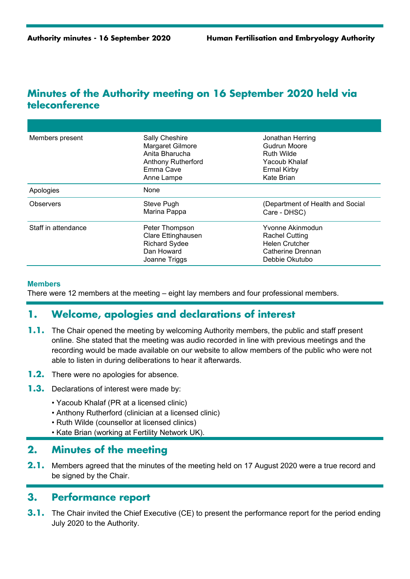## **Minutes of the Authority meeting on 16 September 2020 held via teleconference**

| Members present     | <b>Sally Cheshire</b><br>Margaret Gilmore<br>Anita Bharucha<br><b>Anthony Rutherford</b><br>Emma Cave<br>Anne Lampe | Jonathan Herring<br>Gudrun Moore<br><b>Ruth Wilde</b><br>Yacoub Khalaf<br><b>Ermal Kirby</b><br>Kate Brian |  |
|---------------------|---------------------------------------------------------------------------------------------------------------------|------------------------------------------------------------------------------------------------------------|--|
| Apologies           | None                                                                                                                |                                                                                                            |  |
| Observers           | Steve Pugh<br>Marina Pappa                                                                                          | (Department of Health and Social<br>Care - DHSC)                                                           |  |
| Staff in attendance | Peter Thompson<br>Clare Ettinghausen<br><b>Richard Sydee</b><br>Dan Howard<br>Joanne Triggs                         | Yvonne Akinmodun<br>Rachel Cutting<br><b>Helen Crutcher</b><br>Catherine Drennan<br>Debbie Okutubo         |  |

#### **Members**

There were 12 members at the meeting – eight lay members and four professional members.

## **1. Welcome, apologies and declarations of interest**

- **1.1.** The Chair opened the meeting by welcoming Authority members, the public and staff present online. She stated that the meeting was audio recorded in line with previous meetings and the recording would be made available on our website to allow members of the public who were not able to listen in during deliberations to hear it afterwards.
- **1.2.** There were no apologies for absence.
- **1.3.** Declarations of interest were made by:
	- Yacoub Khalaf (PR at a licensed clinic)
	- Anthony Rutherford (clinician at a licensed clinic)
	- Ruth Wilde (counsellor at licensed clinics)
	- Kate Brian (working at Fertility Network UK).

## **2. Minutes of the meeting**

**2.1.** Members agreed that the minutes of the meeting held on 17 August 2020 were a true record and be signed by the Chair.

## **3. Performance report**

**3.1.** The Chair invited the Chief Executive (CE) to present the performance report for the period ending July 2020 to the Authority.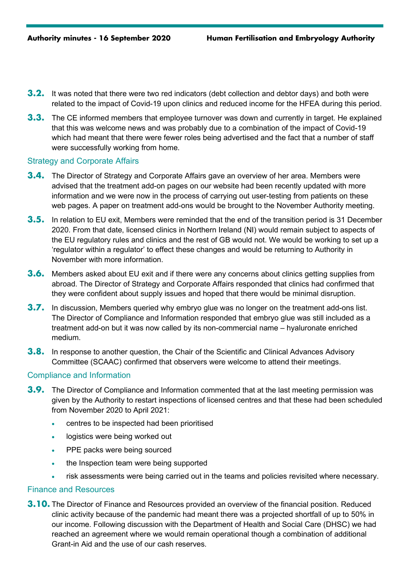- **3.2.** It was noted that there were two red indicators (debt collection and debtor days) and both were related to the impact of Covid-19 upon clinics and reduced income for the HFEA during this period.
- **3.3.** The CE informed members that employee turnover was down and currently in target. He explained that this was welcome news and was probably due to a combination of the impact of Covid-19 which had meant that there were fewer roles being advertised and the fact that a number of staff were successfully working from home.

#### Strategy and Corporate Affairs

- **3.4.** The Director of Strategy and Corporate Affairs gave an overview of her area. Members were advised that the treatment add-on pages on our website had been recently updated with more information and we were now in the process of carrying out user-testing from patients on these web pages. A paper on treatment add-ons would be brought to the November Authority meeting.
- **3.5.** In relation to EU exit, Members were reminded that the end of the transition period is 31 December 2020. From that date, licensed clinics in Northern Ireland (NI) would remain subject to aspects of the EU regulatory rules and clinics and the rest of GB would not. We would be working to set up a 'regulator within a regulator' to effect these changes and would be returning to Authority in November with more information.
- **3.6.** Members asked about EU exit and if there were any concerns about clinics getting supplies from abroad. The Director of Strategy and Corporate Affairs responded that clinics had confirmed that they were confident about supply issues and hoped that there would be minimal disruption.
- **3.7.** In discussion, Members queried why embryo glue was no longer on the treatment add-ons list. The Director of Compliance and Information responded that embryo glue was still included as a treatment add-on but it was now called by its non-commercial name – hyaluronate enriched medium.
- **3.8.** In response to another question, the Chair of the Scientific and Clinical Advances Advisory Committee (SCAAC) confirmed that observers were welcome to attend their meetings.

#### Compliance and Information

- **3.9.** The Director of Compliance and Information commented that at the last meeting permission was given by the Authority to restart inspections of licensed centres and that these had been scheduled from November 2020 to April 2021:
	- centres to be inspected had been prioritised
	- logistics were being worked out
	- PPE packs were being sourced
	- the Inspection team were being supported
	- risk assessments were being carried out in the teams and policies revisited where necessary.

#### Finance and Resources

**3.10.** The Director of Finance and Resources provided an overview of the financial position. Reduced clinic activity because of the pandemic had meant there was a projected shortfall of up to 50% in our income. Following discussion with the Department of Health and Social Care (DHSC) we had reached an agreement where we would remain operational though a combination of additional Grant-in Aid and the use of our cash reserves.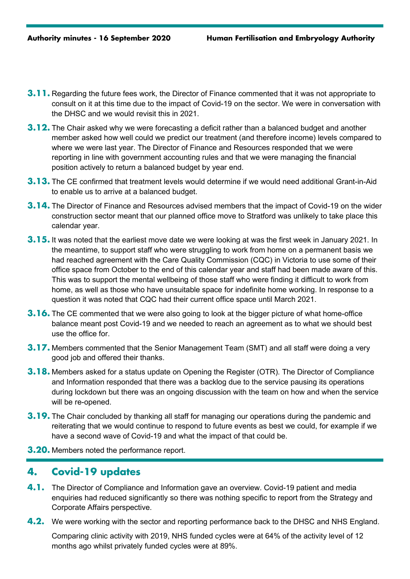- **3.11.** Regarding the future fees work, the Director of Finance commented that it was not appropriate to consult on it at this time due to the impact of Covid-19 on the sector. We were in conversation with the DHSC and we would revisit this in 2021.
- **3.12.** The Chair asked why we were forecasting a deficit rather than a balanced budget and another member asked how well could we predict our treatment (and therefore income) levels compared to where we were last year. The Director of Finance and Resources responded that we were reporting in line with government accounting rules and that we were managing the financial position actively to return a balanced budget by year end.
- **3.13.** The CE confirmed that treatment levels would determine if we would need additional Grant-in-Aid to enable us to arrive at a balanced budget.
- **3.14.** The Director of Finance and Resources advised members that the impact of Covid-19 on the wider construction sector meant that our planned office move to Stratford was unlikely to take place this calendar year.
- **3.15.** It was noted that the earliest move date we were looking at was the first week in January 2021. In the meantime, to support staff who were struggling to work from home on a permanent basis we had reached agreement with the Care Quality Commission (CQC) in Victoria to use some of their office space from October to the end of this calendar year and staff had been made aware of this. This was to support the mental wellbeing of those staff who were finding it difficult to work from home, as well as those who have unsuitable space for indefinite home working. In response to a question it was noted that CQC had their current office space until March 2021.
- **3.16.** The CE commented that we were also going to look at the bigger picture of what home-office balance meant post Covid-19 and we needed to reach an agreement as to what we should best use the office for.
- **3.17.** Members commented that the Senior Management Team (SMT) and all staff were doing a very good job and offered their thanks.
- **3.18.** Members asked for a status update on Opening the Register (OTR). The Director of Compliance and Information responded that there was a backlog due to the service pausing its operations during lockdown but there was an ongoing discussion with the team on how and when the service will be re-opened.
- **3.19.** The Chair concluded by thanking all staff for managing our operations during the pandemic and reiterating that we would continue to respond to future events as best we could, for example if we have a second wave of Covid-19 and what the impact of that could be.
- **3.20.** Members noted the performance report.

## **4. Covid-19 updates**

- **4.1.** The Director of Compliance and Information gave an overview. Covid-19 patient and media enquiries had reduced significantly so there was nothing specific to report from the Strategy and Corporate Affairs perspective.
- **4.2.** We were working with the sector and reporting performance back to the DHSC and NHS England.

Comparing clinic activity with 2019, NHS funded cycles were at 64% of the activity level of 12 months ago whilst privately funded cycles were at 89%.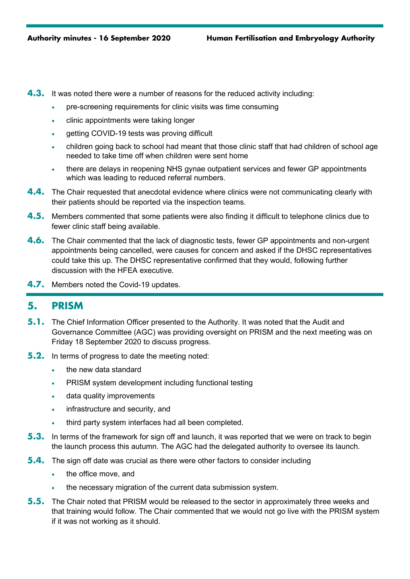- **4.3.** It was noted there were a number of reasons for the reduced activity including:
	- pre-screening requirements for clinic visits was time consuming
	- clinic appointments were taking longer
	- getting COVID-19 tests was proving difficult
	- children going back to school had meant that those clinic staff that had children of school age needed to take time off when children were sent home
	- there are delays in reopening NHS gynae outpatient services and fewer GP appointments which was leading to reduced referral numbers.
- **4.4.** The Chair requested that anecdotal evidence where clinics were not communicating clearly with their patients should be reported via the inspection teams.
- **4.5.** Members commented that some patients were also finding it difficult to telephone clinics due to fewer clinic staff being available.
- **4.6.** The Chair commented that the lack of diagnostic tests, fewer GP appointments and non-urgent appointments being cancelled, were causes for concern and asked if the DHSC representatives could take this up. The DHSC representative confirmed that they would, following further discussion with the HFEA executive.
- **4.7.** Members noted the Covid-19 updates.

## **5. PRISM**

- **5.1.** The Chief Information Officer presented to the Authority. It was noted that the Audit and Governance Committee (AGC) was providing oversight on PRISM and the next meeting was on Friday 18 September 2020 to discuss progress.
- **5.2.** In terms of progress to date the meeting noted:
	- the new data standard
	- PRISM system development including functional testing
	- data quality improvements
	- infrastructure and security, and
	- third party system interfaces had all been completed.
- **5.3.** In terms of the framework for sign off and launch, it was reported that we were on track to begin the launch process this autumn. The AGC had the delegated authority to oversee its launch.
- **5.4.** The sign off date was crucial as there were other factors to consider including
	- the office move, and
	- the necessary migration of the current data submission system.
- **5.5.** The Chair noted that PRISM would be released to the sector in approximately three weeks and that training would follow. The Chair commented that we would not go live with the PRISM system if it was not working as it should.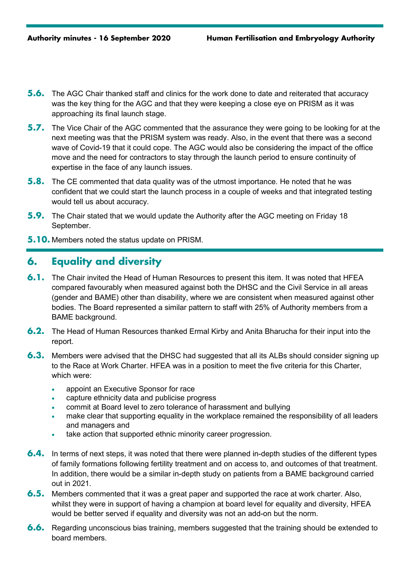- **5.6.** The AGC Chair thanked staff and clinics for the work done to date and reiterated that accuracy was the key thing for the AGC and that they were keeping a close eye on PRISM as it was approaching its final launch stage.
- **5.7.** The Vice Chair of the AGC commented that the assurance they were going to be looking for at the next meeting was that the PRISM system was ready. Also, in the event that there was a second wave of Covid-19 that it could cope. The AGC would also be considering the impact of the office move and the need for contractors to stay through the launch period to ensure continuity of expertise in the face of any launch issues.
- **5.8.** The CE commented that data quality was of the utmost importance. He noted that he was confident that we could start the launch process in a couple of weeks and that integrated testing would tell us about accuracy.
- **5.9.** The Chair stated that we would update the Authority after the AGC meeting on Friday 18 September.
- **5.10.** Members noted the status update on PRISM.

# **6. Equality and diversity**

- **6.1.** The Chair invited the Head of Human Resources to present this item. It was noted that HFEA compared favourably when measured against both the DHSC and the Civil Service in all areas (gender and BAME) other than disability, where we are consistent when measured against other bodies. The Board represented a similar pattern to staff with 25% of Authority members from a BAME background.
- **6.2.** The Head of Human Resources thanked Ermal Kirby and Anita Bharucha for their input into the report.
- **6.3.** Members were advised that the DHSC had suggested that all its ALBs should consider signing up to the Race at Work Charter. HFEA was in a position to meet the five criteria for this Charter, which were:
	- appoint an Executive Sponsor for race
	- capture ethnicity data and publicise progress
	- commit at Board level to zero tolerance of harassment and bullying
	- make clear that supporting equality in the workplace remained the responsibility of all leaders and managers and
	- take action that supported ethnic minority career progression.
- **6.4.** In terms of next steps, it was noted that there were planned in-depth studies of the different types of family formations following fertility treatment and on access to, and outcomes of that treatment. In addition, there would be a similar in-depth study on patients from a BAME background carried out in 2021.
- **6.5.** Members commented that it was a great paper and supported the race at work charter. Also, whilst they were in support of having a champion at board level for equality and diversity, HFEA would be better served if equality and diversity was not an add-on but the norm.
- **6.6.** Regarding unconscious bias training, members suggested that the training should be extended to board members.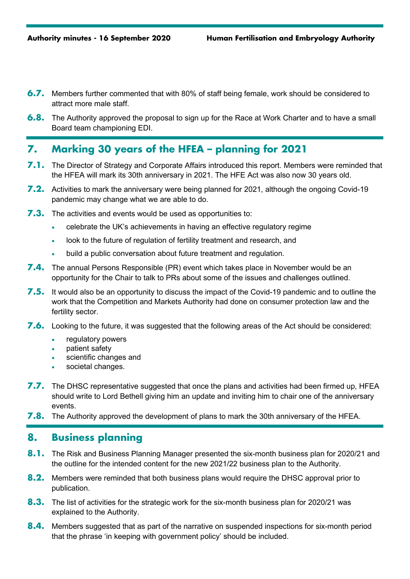- **6.7.** Members further commented that with 80% of staff being female, work should be considered to attract more male staff.
- **6.8.** The Authority approved the proposal to sign up for the Race at Work Charter and to have a small Board team championing EDI.

# **7. Marking 30 years of the HFEA – planning for 2021**

- **7.1.** The Director of Strategy and Corporate Affairs introduced this report. Members were reminded that the HFEA will mark its 30th anniversary in 2021. The HFE Act was also now 30 years old.
- **7.2.** Activities to mark the anniversary were being planned for 2021, although the ongoing Covid-19 pandemic may change what we are able to do.
- **7.3.** The activities and events would be used as opportunities to:
	- celebrate the UK's achievements in having an effective regulatory regime
	- look to the future of regulation of fertility treatment and research, and
	- build a public conversation about future treatment and regulation.
- **7.4.** The annual Persons Responsible (PR) event which takes place in November would be an opportunity for the Chair to talk to PRs about some of the issues and challenges outlined.
- **7.5.** It would also be an opportunity to discuss the impact of the Covid-19 pandemic and to outline the work that the Competition and Markets Authority had done on consumer protection law and the fertility sector.
- **7.6.** Looking to the future, it was suggested that the following areas of the Act should be considered:
	- regulatory powers
	- patient safety
	- scientific changes and
	- societal changes.
- **7.7.** The DHSC representative suggested that once the plans and activities had been firmed up, HFEA should write to Lord Bethell giving him an update and inviting him to chair one of the anniversary events.
- **7.8.** The Authority approved the development of plans to mark the 30th anniversary of the HFEA.

# **8. Business planning**

- **8.1.** The Risk and Business Planning Manager presented the six-month business plan for 2020/21 and the outline for the intended content for the new 2021/22 business plan to the Authority.
- **8.2.** Members were reminded that both business plans would require the DHSC approval prior to publication.
- **8.3.** The list of activities for the strategic work for the six-month business plan for 2020/21 was explained to the Authority.
- **8.4.** Members suggested that as part of the narrative on suspended inspections for six-month period that the phrase 'in keeping with government policy' should be included.